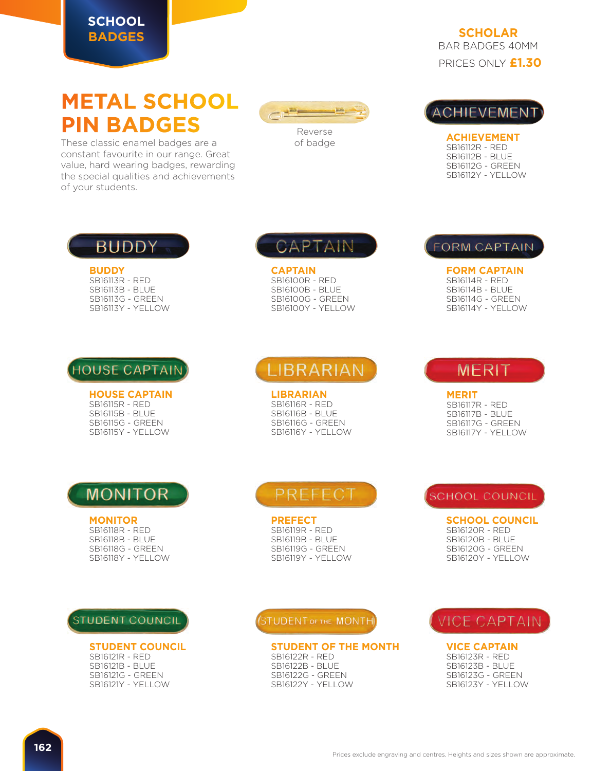#### **SCHOOL BADGES**

PRICES ONLY **£1.30 SCHOLAR** BAR BADGES 40MM

# **METAL SCHOOL PIN BADGES**

These classic enamel badges are a constant favourite in our range. Great value, hard wearing badges, rewarding the special qualities and achievements of your students.





**ACHIEVEMENT** SB16112R - RED SB16112B - BLUE SB16112G - GREEN SB16112Y - YELLOW

## **BUDDY**

**BUDDY** SB16113R - RED SB16113B - BLUE SB16113G - GREEN SB16113Y - YELLOW



**HOUSE CAPTAIN** SB16115R - RED SB16115B - BLUE SB16115G - GREEN SB16115Y - YELLOW

## CAPTAIN

**CAPTAIN** SB16100R - RED SB16100B - BLUE SB16100G - GREEN SB16100Y - YELLOW

## **LIBRARIAN**

**LIBRARIAN** SB16116R - RED SB16116B - BLUE SB16116G - GREEN SB16116Y - YELLOW

### **FORM CAPTAIN**

**FORM CAPTAIN** SB16114R - RED SB16114B - BLUE SB16114G - GREEN SB16114Y - YELLOW

### **MERIT**

**MERIT** SB16117R - RED SB16117B - BLUE SB16117G - GREEN SB16117Y - YELLOW

## **MONITOR**

#### **MONITOR**

SB16118R - RED SB16118B - BLUE SB16118G - GREEN SB16118Y - YELLOW

### **STUDENT COUNCIL**

#### **STUDENT COUNCIL**

SB16121R - RED SB16121B - BLUE SB16121G - GREEN SB16121Y - YELLOW

## PREFECT

**PREFECT** SB16119R - RED SB16119B - BLUE SB16119G - GREEN SB16119Y - YELLOW

STUDENT OF THE MONTH

#### **STUDENT OF THE MONTH**

SB16122R - RED SB16122B - BLUE SB16122G - GREEN SB16122Y - YELLOW

### **SCHOOL COUNCIL**

**SCHOOL COUNCIL** SB16120R - RED SB16120B - BLUE SB16120G - GREEN SB16120Y - YELLOW

### **VICE CAPTAIN**

**VICE CAPTAIN**

SB16123R - RED SB16123B - BLUE SB16123G - GREEN SB16123Y - YELLOW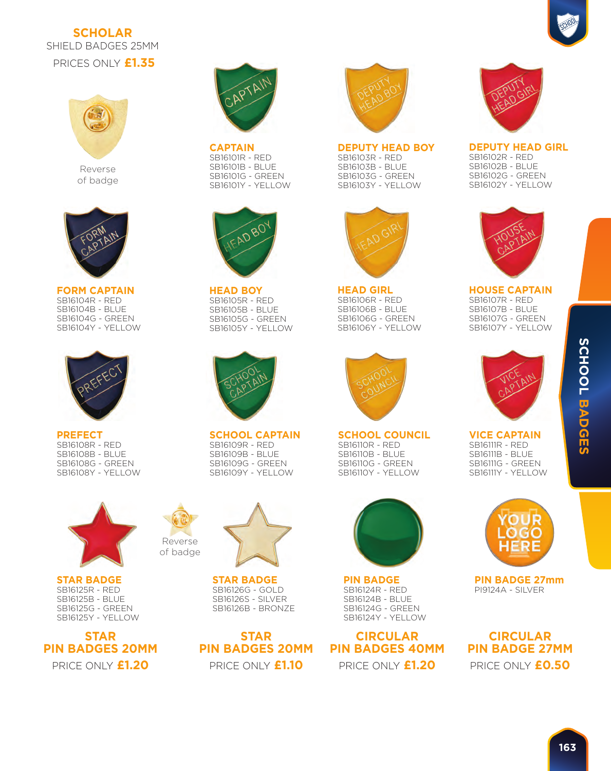### **SCHOLAR** SHIELD BADGES 25MM





Reverse of badge



**FORM CAPTAIN** SB16104R - RED SB16104B - BLUE SB16104G - GREEN SB16104Y - YELLOW



**PREFECT** SB16108R - RED SB16108B - BLUE SB16108G - GREEN SB16108Y - YELLOW



**STAR BADGE** SB16125R - RED SB16125B - BLUE SB16125G - GREEN SB16125Y - YELLOW

**STAR PIN BADGES 20MM**



**CAPTAIN** SB16101R - RED SB16101B - BLUE SB16101G - GREEN SB16101Y - YELLOW



**HEAD BOY** SB16105R - RED SB16105B - BLUE SB16105G - GREEN SB16105Y - YELLOW



**SCHOOL CAPTAIN** SB16109R - RED SB16109B - BLUE SB16109G - GREEN SB16109Y - YELLOW



Reverse of badge

> **STAR BADGE** SB16126G - GOLD SB16126S - SILVER SB16126B - BRONZE

PRICE ONLY **£1.20** PRICE ONLY **£1.10** PRICE ONLY **£1.20 STAR PIN BADGES 20MM**



**DEPUTY HEAD BOY** SB16103R - RED SB16103B - BLUE SB16103G - GREEN SB16103Y - YELLOW



**HEAD GIRL** SB16106R - RED SB16106B - BLUE SB16106G - GREEN SB16106Y - YELLOW



**SCHOOL COUNCIL** SB16110R - RED SB16110B - BLUE SB16110G - GREEN SB16110Y - YELLOW



**PIN BADGE** SB16124R - RED SB16124B - BLUE SB16124G - GREEN SB16124Y - YELLOW

**CIRCULAR PIN BADGES 40MM**



**DEPUTY HEAD GIRL** SB16102R - RED SB16102B - BLUE SB16102G - GREEN SB16102Y - YELLOW



**HOUSE CAPTAIN** SB16107R - RED SB16107B - BLUE SB16107G - GREEN SB16107Y - YELLOW



#### **VICE CAPTAIN** SB16111R - RED SB16111B - BLUE SB16111G - GREEN SB16111Y - YELLOW



**PIN BADGE 27mm** PI9124A - SILVER

PRICE ONLY **£0.50 CIRCULAR PIN BADGE 27MM**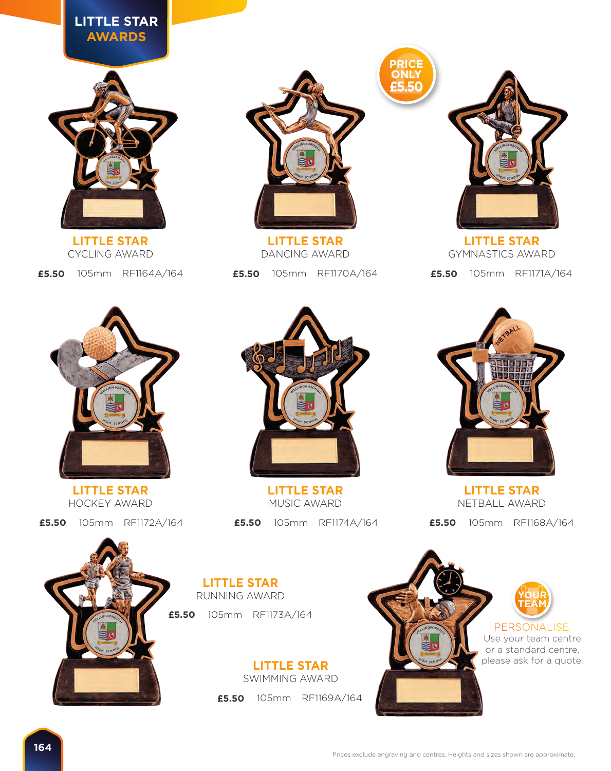### **LITTLE STAR AWARDS**



**LITTLE STAR** CYCLING AWARD



**LITTLE STAR** DANCING AWARD

**£5.50** 105mm RF1164A/164 **£5.50** 105mm RF1170A/164



PRICE<br>
ONLY<br> **£5.50 PRICE ONLY £5.50**

> **£5.50** 105mm RF1171A/164 **LITTLE STAR** GYMNASTICS AWARD



**LITTLE STAR** HOCKEY AWARD

**£5.50** 105mm RF1172A/164



**LITTLE STAR** MUSIC AWARD

**£5.50** 105mm RF1174A/164



**LITTLE STAR** NETBALL AWARD

**£5.50** 105mm RF1168A/164



**£5.50** 105mm RF1173A/164 **LITTLE STAR** RUNNING AWARD

> **£5.50** 105mm RF1169A/164 **LITTLE STAR** SWIMMING AWARD

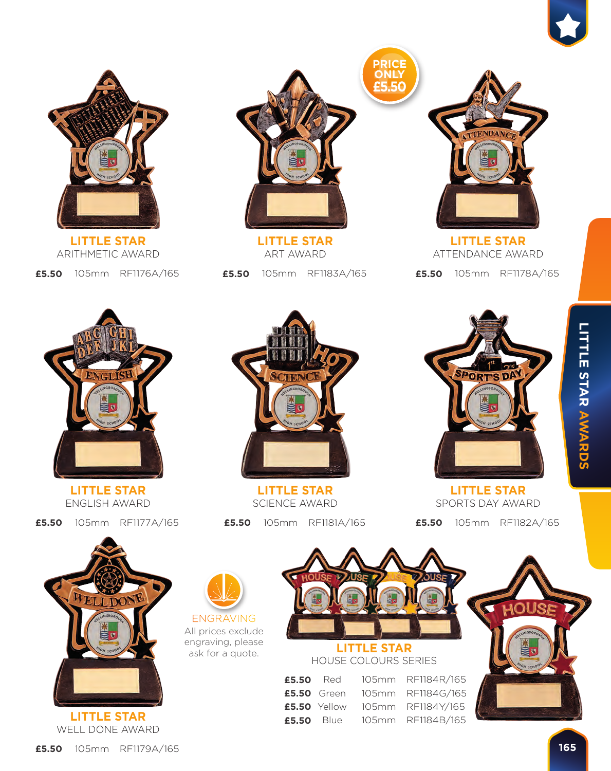

**£5.50** 105mm RF1176A/165 **LITTLE STAR** ARITHMETIC AWARD



**LITTLE STAR** ART AWARD

**£5.50** 105mm RF1183A/165



**£5.50** 105mm RF1178A/165 **LITTLE STAR** ATTENDANCE AWARD



**LITTLE STAR** ENGLISH AWARD

**£5.50** 105mm RF1177A/165



**LITTLE STAR** SCIENCE AWARD

**£5.50** 105mm RF1181A/165



**LITTLE STAR** SPORTS DAY AWARD

**£5.50** 105mm RF1182A/165





All prices exclude engraving, please ask for a quote.



**£5.50** Red 105mm RF1184R/165 **£5.50** Green 105mm RF1184G/165 **£5.50** Yellow 105mm RF1184Y/165 **£5.50** Blue 105mm RF1184B/165